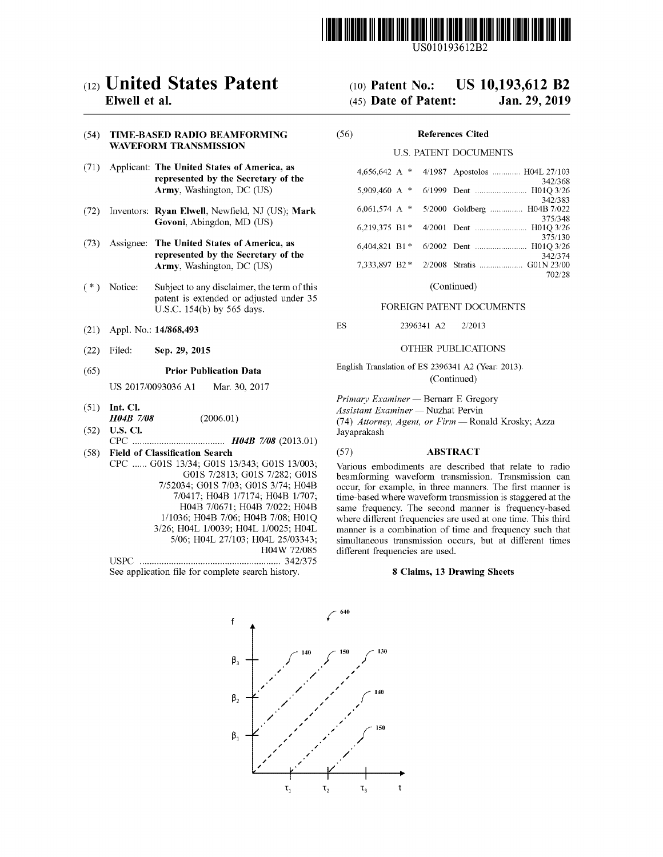

US010193612B2

#### (54) TIME-BASED RADIO BEAMFORMING TIME-BASED RADIO BEAMFORMING (56) References Cited<br>WAVEFORM TRANSMISSION

- (71) Applicant: The United States of America, as represented by the Secretary of the Army, Washington, DC (US)
- (72) Inventors: Ryan Elwell, Newfield, NJ (US); Mark Govoni, Abingdon, MD (US)
- (73) Assignee: The United States of America, as represented by the Secretary of the Army, Washington, DC (US)
- (\*) Notice: Subject to any disclaimer, the term of this patent is extended or adjusted under 35 U.S.C. 154(b) by 565 days. FOREIGN PATENT DOCUMENTS
- 
- (22) Filed: Sep. 29, 2015 CTHER PUBLICATIONS

#### (65) **Prior Publication Data**

US 2017/0093036 A1 Mar. 30, 2017

- (51) Int. Cl.<br>  $H04B$  7/08 (2006.01)<br>
(52) U.S. Cl.
- ( 52 ) U . S . CI . CPC . . . . . . . . . . . . . . . . . . . . . . . H04B 7 / 08 ( 2013 . 01 )
- (58) Field of Classification Search CPC ...... G01S 13/34; G01S 13/343; G01S 13/003; G01S 7/2813; G01S 7/282; G01S 7/52034; G01S 7/03; G01S 3/74; H04B 7/0417; H04B 1/7174; H04B 1/707; H04B 7/0671; H04B 7/022; H04B 1/1036; H04B 7/06; H04B 7/08; H01Q 3/26; H04L 1/0039; H04L 1/0025; H04L 5/06; H04L 27/103; H04L 25/03343; H04W 72/085 USPC . . . . . . . . . . . . . 342 / 375 See application file for complete search history.

# (12) **United States Patent** (10) Patent No.: US 10,193,612 B2<br>Elwell et al. (45) Date of Patent: Jan. 29, 2019

### (45) Date of Patent: Jan. 29, 2019

#### U.S. PATENT DOCUMENTS

|                  | 4,656,642 A * 4/1987 Apostolos  H04L 27/103 |
|------------------|---------------------------------------------|
|                  | 342/368                                     |
|                  |                                             |
|                  | 342/383                                     |
| 6.061.574 A $*$  | 5/2000 Goldberg  H04B 7/022                 |
|                  | 375/348                                     |
| 6.219.375 B1*    | 4/2001 Dent  H01Q 3/26                      |
|                  | 375/130                                     |
| 6.404.821 B1 $*$ | 6/2002 Dent  H01Q 3/26                      |
|                  | 342/374                                     |
| 7.333.897 B2*    | 2/2008 Stratis  G01N 23/00                  |
|                  | 702/28                                      |

(Continued)

ES 2396341 A2 2/2013<br>
ES 2396341 A2 2/2013

### English Translation of ES 2396341 A2 (Year: 2013). (Continued)

Primary Examiner — Bernarr E Gregory

Assistant Examiner — Nuzhat Pervin

(74) Attorney, Agent, or Firm - Ronald Krosky; Azza Jayaprakash

#### ( 57 ) ABSTRACT

Various embodiments are described that relate to radio beamforming waveform transmission . Transmission can occur, for example, in three manners. The first manner is time-based where waveform transmission is staggered at the same frequency. The second manner is frequency-based where different frequencies are used at one time. This third manner is a combination of time and frequency such that simultaneous transmission occurs, but at different times different frequencies are used.

#### 8 Claims, 13 Drawing Sheets

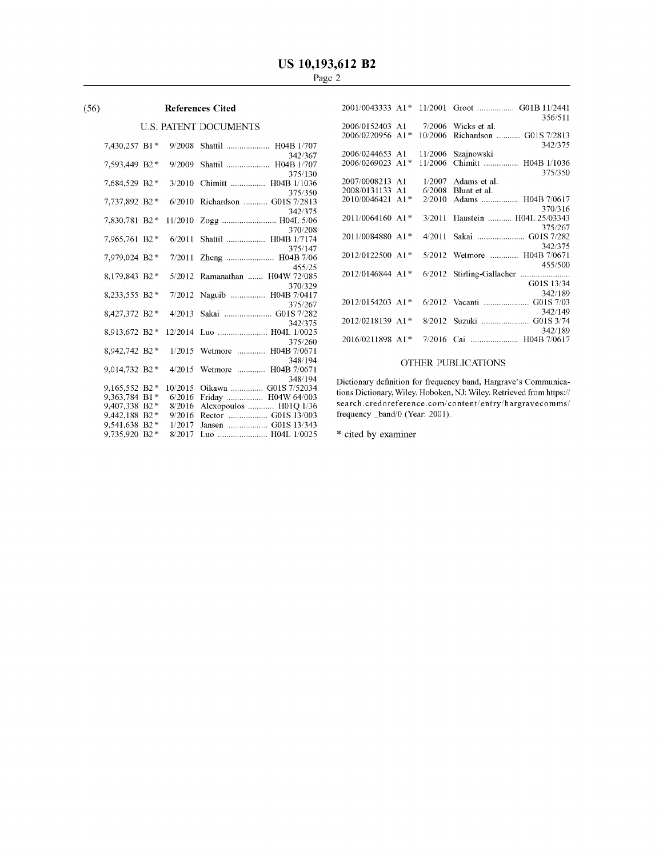### (56) References Cited

### U.S. PATENT DOCUMENTS

| 342/367<br>Shattil  H04B 1/707<br>7,593,449 B2 *<br>9/2009<br>375/130<br>Chimitt<br>7,684,529 B2 *<br>H04B 1/1036<br>3/2010<br>375/350<br>Richardson<br>7,737,892 B2 *<br>6/2010<br>G01S 7/2813<br>342/375 |        |
|------------------------------------------------------------------------------------------------------------------------------------------------------------------------------------------------------------|--------|
|                                                                                                                                                                                                            |        |
|                                                                                                                                                                                                            |        |
|                                                                                                                                                                                                            |        |
|                                                                                                                                                                                                            |        |
|                                                                                                                                                                                                            |        |
|                                                                                                                                                                                                            |        |
|                                                                                                                                                                                                            |        |
| 7,830,781<br>11/2010<br>$B2*$                                                                                                                                                                              |        |
| 370/208<br>Shattil  H04B 1/7174<br>6/2011                                                                                                                                                                  |        |
| 7,965,761 B2 *<br>375/147                                                                                                                                                                                  |        |
| Zheng  H04B 7/06<br>7.979.024 B2 *<br>7/2011                                                                                                                                                               |        |
|                                                                                                                                                                                                            | 455/25 |
| Ramanathan  H04W 72/085<br>8.179.843 B2 *<br>5/2012                                                                                                                                                        |        |
| 370/329                                                                                                                                                                                                    |        |
| 8,233,555 B2 *<br>Naguib  H04B 7/0417<br>7/2012                                                                                                                                                            |        |
| 375/267                                                                                                                                                                                                    |        |
| 4/2013 Sakai  G01S 7/282<br>8,427,372 B2 *                                                                                                                                                                 |        |
| 342/375                                                                                                                                                                                                    |        |
| Luo  H04L 1/0025<br>8,913,672 B2*<br>12/2014                                                                                                                                                               |        |
| 375/260                                                                                                                                                                                                    |        |
| 8,942,742 B2*<br>Wetmore  H04B 7/0671<br>1/2015                                                                                                                                                            |        |
| 348/194                                                                                                                                                                                                    |        |
| 9.014.732 B2*<br>4/2015 Wetmore  H04B 7/0671                                                                                                                                                               |        |
| 348/194                                                                                                                                                                                                    |        |
| 10/2015<br>Oikawa  G01S 7/52034<br>9,165,552<br>$B2*$                                                                                                                                                      |        |
| 9,363,784<br>$B1*$<br>6/2016<br>Friday  H04W 64/003                                                                                                                                                        |        |
| 9,407,338<br>Alexopoulos  H01Q 1/36<br>$B2*$<br>8/2016                                                                                                                                                     |        |
| 9,442,188<br>$B2*$<br>Rector  G01S 13/003<br>9/2016                                                                                                                                                        |        |
| $B2*$<br>9,541,638<br>1/2017                                                                                                                                                                               |        |
| $B2*$<br>8/2017<br>Luo  H04L 1/0025<br>9,735,920                                                                                                                                                           |        |

| $2001/0043333$ A1 <sup>*</sup> | 11/2001 | Groot  G01B 11/2441<br>356/511 |
|--------------------------------|---------|--------------------------------|
| 2006/0152403 A1                | 7/2006  | Wicks et al.                   |
| 2006/0220956 A1*               | 10/2006 | Richardson  G01S 7/2813        |
|                                |         | 342/375                        |
| 2006/0244653 A1                | 11/2006 | Szajnowski                     |
| 2006/0269023 A1*               | 11/2006 | Chimitt  H04B 1/1036           |
|                                |         | 375/350                        |
| 2007/0008213 A1                | 1/2007  | Adams et al.                   |
| 2008/0131133 A1                | 6/2008  | Blunt et al.                   |
| 2010/0046421 A1*               | 2/2010  | Adams  H04B 7/0617             |
|                                |         | 370/316                        |
| 2011/0064160 A1*               | 3/2011  | Haustein  H04L 25/03343        |
| 2011/0084880 A1*               | 4/2011  | 375/267<br>Sakai  G01S 7/282   |
|                                |         | 342/375                        |
| 2012/0122500 A1*               | 5/2012  | Wetmore  H04B 7/0671           |
|                                |         | 455/500                        |
| 2012/0146844 A1*               | 6/2012  |                                |
|                                |         | G01S 13/34                     |
|                                |         | 342/189                        |
| 2012/0154203 A1*               |         |                                |
|                                |         | 342/149                        |
| 2012/0218139 A1*               | 8/2012  | Suzuki  G01S 3/74              |
|                                |         | 342/189                        |
| 2016/0211898 A1*               | 7/2016  | Cai  H04B 7/0617               |
|                                |         |                                |

### OTHER PUBLICATIONS

Dictionary definition for frequency band, Hargrave's Communications Dictionary, Wiley. Hoboken, NJ: Wiley. Retrieved from https:// search . credoreference . com / content / entry / hargravecomms / frequency \_band/0 (Year: 2001).

\* cited by examiner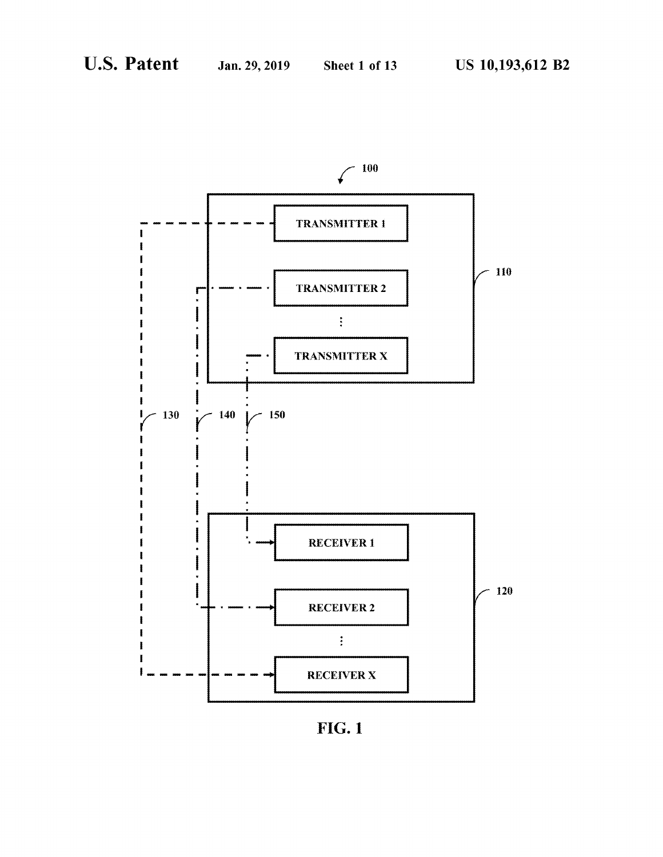

**FIG. 1**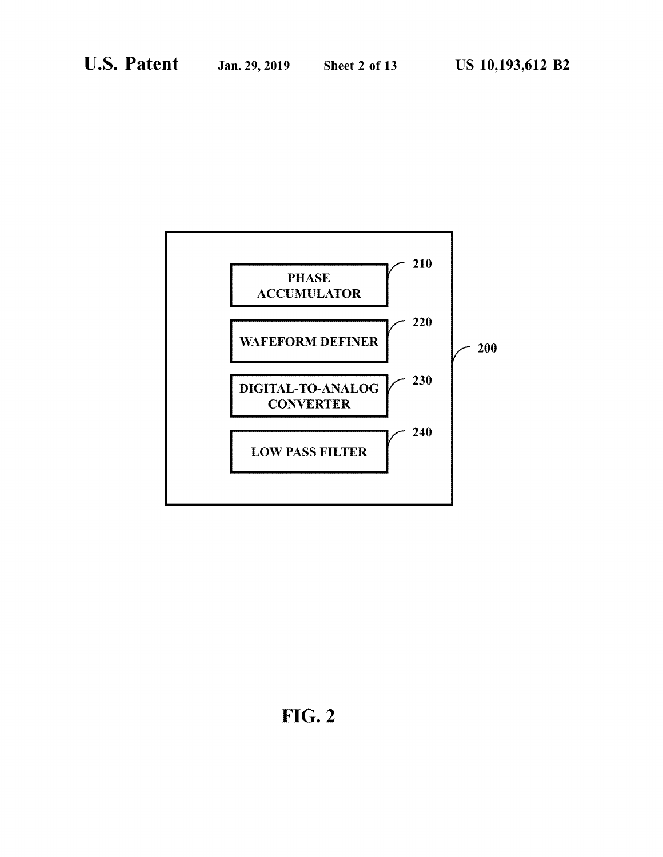

## $FIG. 2$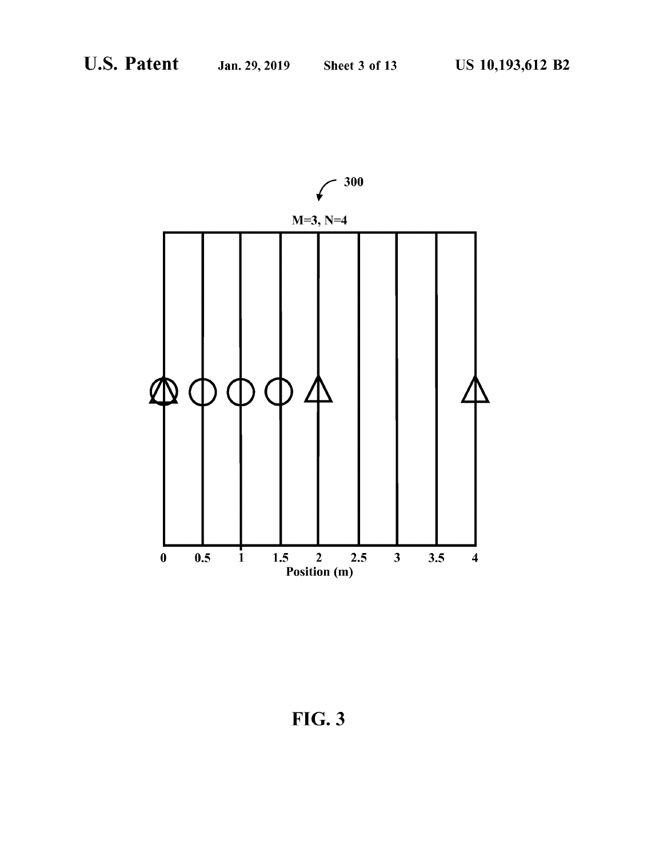

**FIG. 3**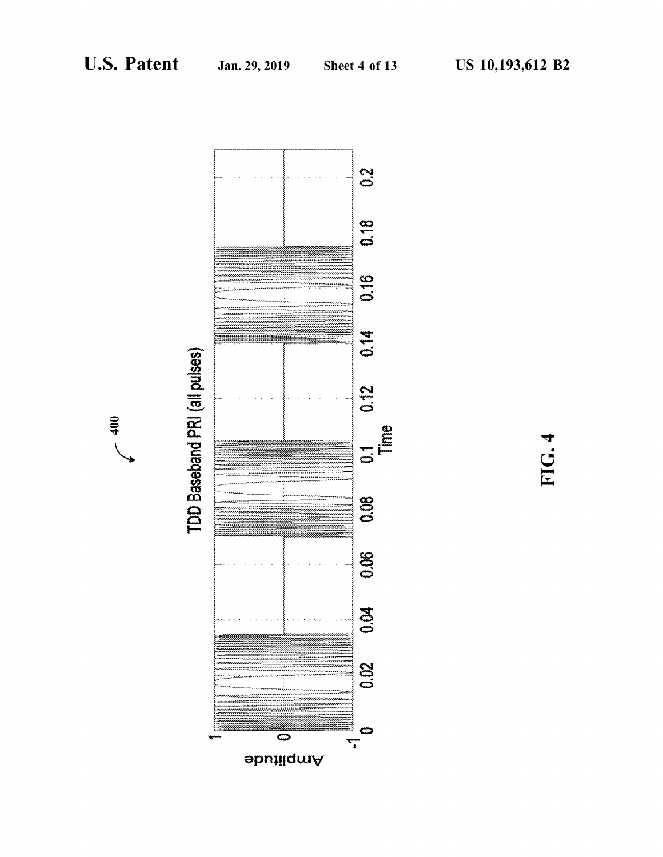

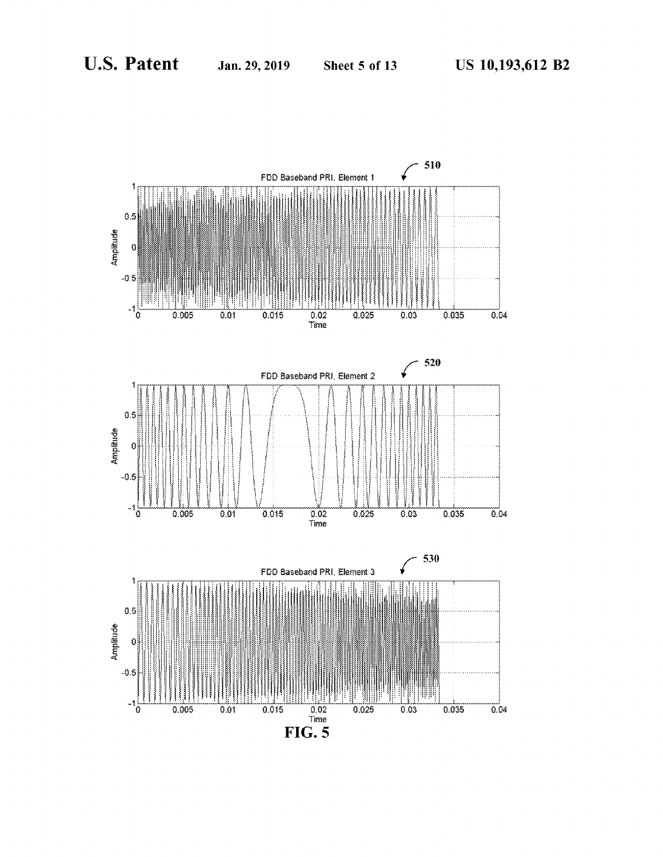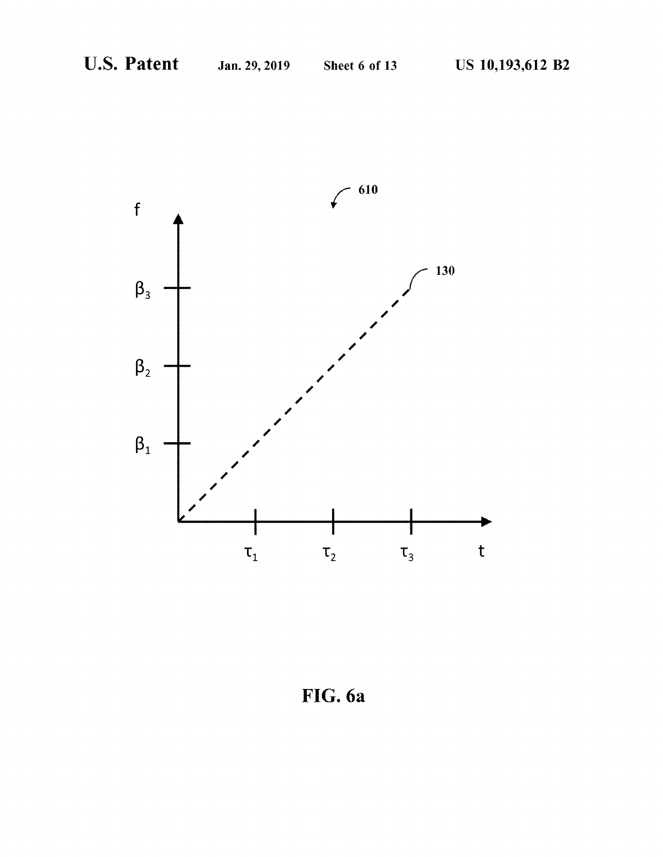

FIG. 6a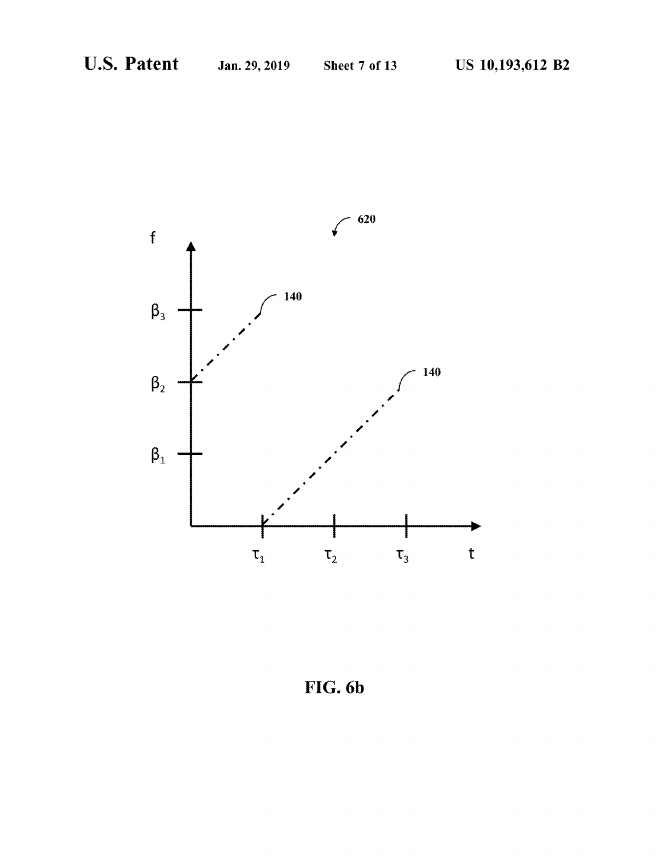

FIG. 6b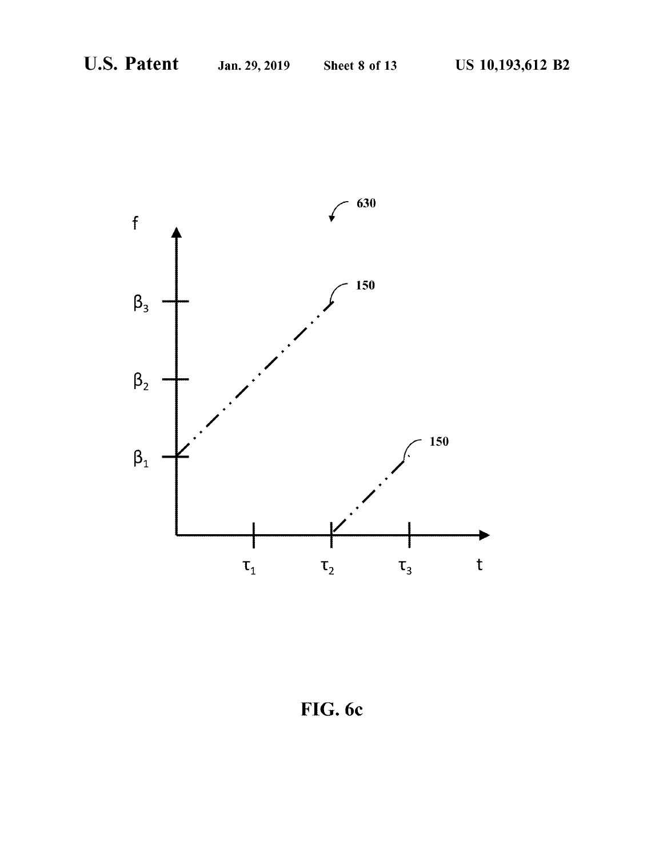

FIG. 6c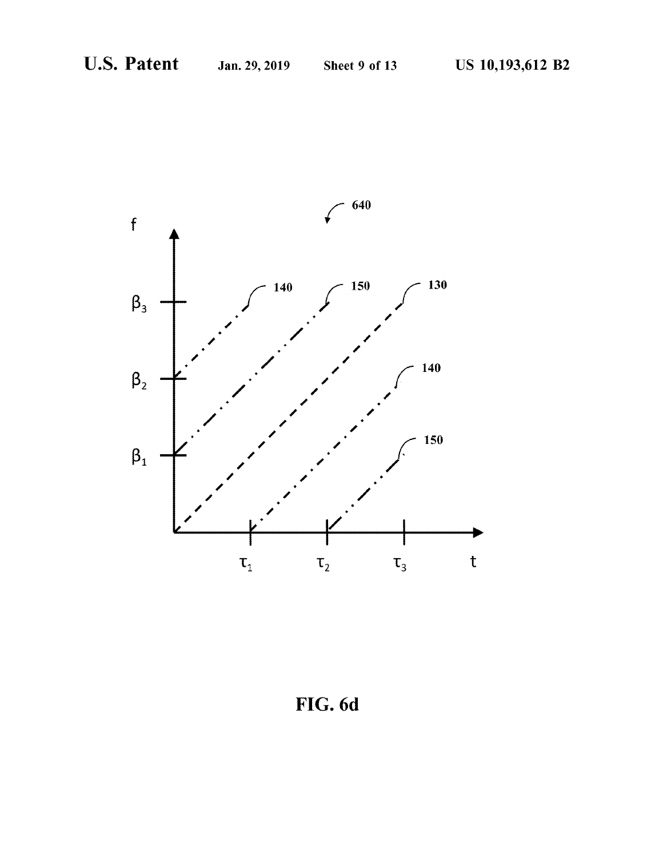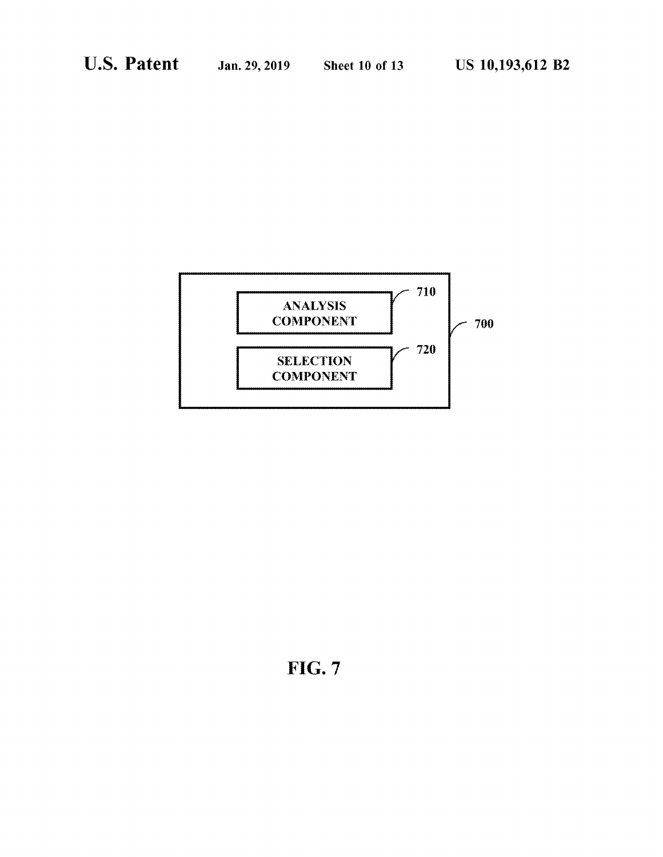

**FIG. 7**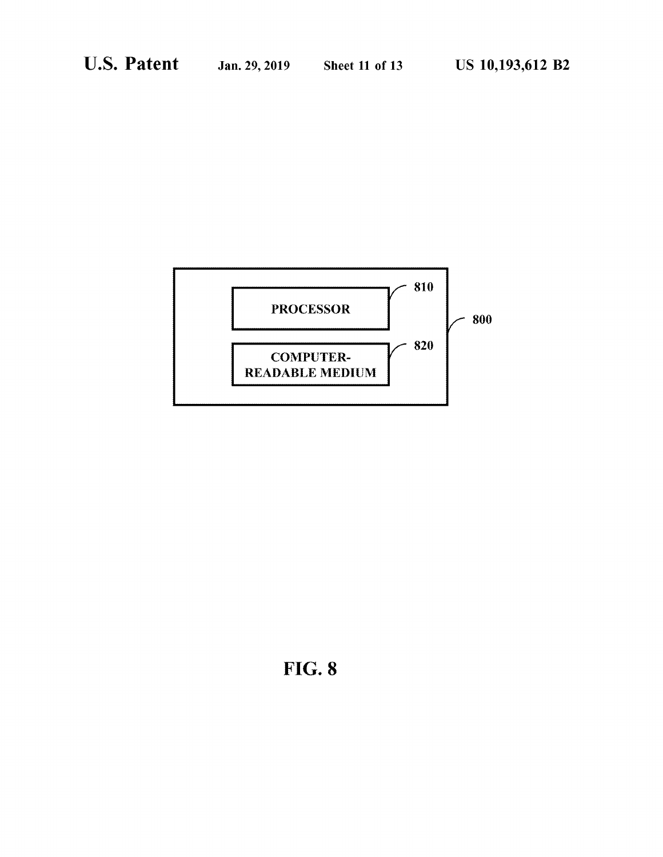

**FIG. 8**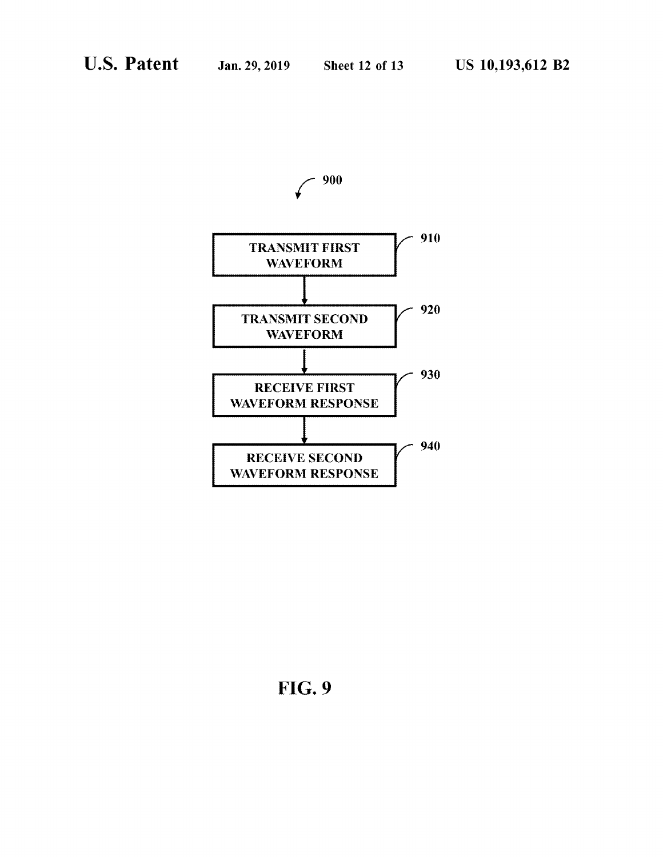

**FIG.** 9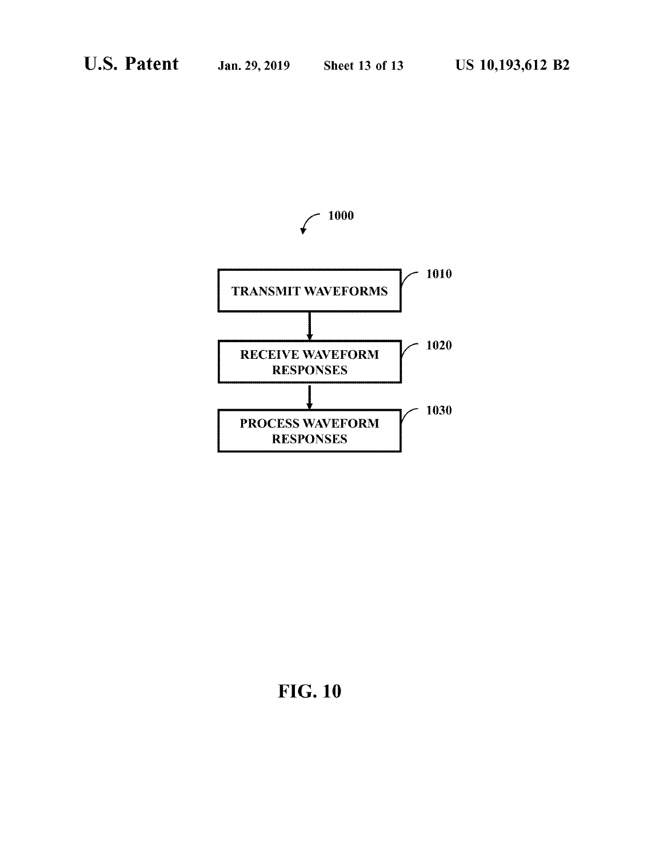

**FIG. 10**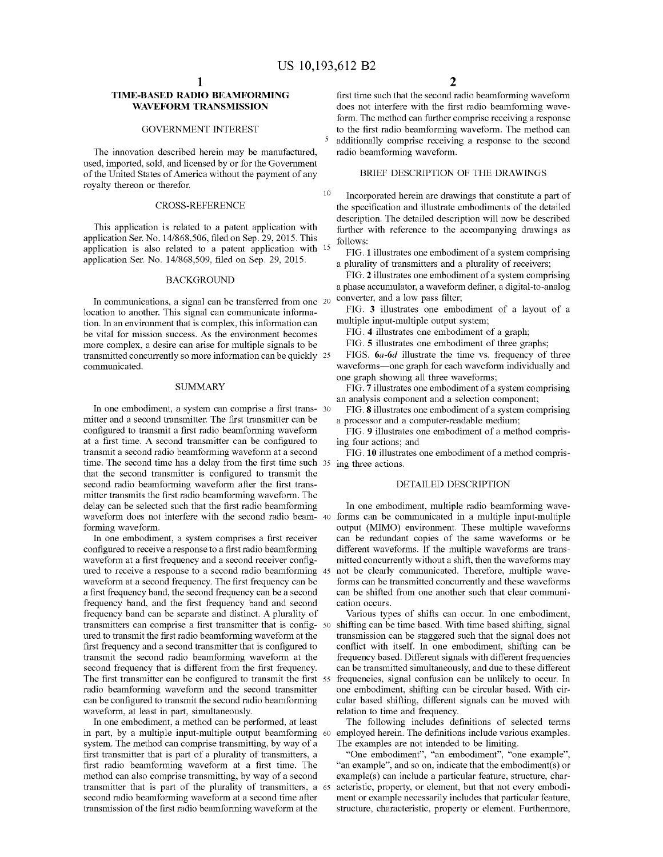$10\,$ 

#### **TIME-BASED RADIO BEAMFORMING WAVEFORM TRANSMISSION**

#### **GOVERNMENT INTEREST**

The innovation described herein may be manufactured, used, imported, sold, and licensed by or for the Government of the United States of America without the payment of any royalty thereon or therefor.

#### **CROSS-REFERENCE**

This application is related to a patent application with application Ser. No. 14/868,506, filed on Sep. 29, 2015. This application is also related to a patent application with 15 application Ser. No. 14/868,509, filed on Sep. 29, 2015.

#### **BACKGROUND**

In communications, a signal can be transferred from one 20 location to another. This signal can communicate information. In an environment that is complex, this information can be vital for mission success. As the environment becomes more complex, a desire can arise for multiple signals to be transmitted concurrently so more information can be quickly 25 communicated.

#### **SUMMARY**

In one embodiment, a system can comprise a first trans- 30 mitter and a second transmitter. The first transmitter can be configured to transmit a first radio beamforming waveform at a first time. A second transmitter can be configured to transmit a second radio beamforming waveform at a second time. The second time has a delay from the first time such 35 ing three actions. that the second transmitter is configured to transmit the second radio beamforming waveform after the first transmitter transmits the first radio beamforming waveform. The delay can be selected such that the first radio beamforming waveform does not interfere with the second radio beam- 40 forms can be communicated in a multiple input-multiple forming waveform.

In one embodiment, a system comprises a first receiver configured to receive a response to a first radio beamforming waveform at a first frequency and a second receiver configured to receive a response to a second radio beamforming 45 waveform at a second frequency. The first frequency can be a first frequency band, the second frequency can be a second frequency band, and the first frequency band and second frequency band can be separate and distinct. A plurality of transmitters can comprise a first transmitter that is config- 50 ured to transmit the first radio beamforming waveform at the first frequency and a second transmitter that is configured to transmit the second radio beamforming waveform at the second frequency that is different from the first frequency. The first transmitter can be configured to transmit the first 55 radio beamforming waveform and the second transmitter can be configured to transmit the second radio beamforming waveform, at least in part, simultaneously.

In one embodiment, a method can be performed, at least in part, by a multiple input-multiple output beamforming 60 system. The method can comprise transmitting, by way of a first transmitter that is part of a plurality of transmitters, a first radio beamforming waveform at a first time. The method can also comprise transmitting, by way of a second transmitter that is part of the plurality of transmitters, a 65 second radio beamforming waveform at a second time after transmission of the first radio beamforming waveform at the

first time such that the second radio beamforming waveform does not interfere with the first radio beamforming waveform. The method can further comprise receiving a response to the first radio beamforming waveform. The method can additionally comprise receiving a response to the second radio beamforming waveform.

#### BRIEF DESCRIPTION OF THE DRAWINGS

Incorporated herein are drawings that constitute a part of the specification and illustrate embodiments of the detailed description. The detailed description will now be described further with reference to the accompanying drawings as follows:

FIG. 1 illustrates one embodiment of a system comprising a plurality of transmitters and a plurality of receivers;

FIG. 2 illustrates one embodiment of a system comprising a phase accumulator, a waveform definer, a digital-to-analog converter, and a low pass filter;

FIG. 3 illustrates one embodiment of a layout of a multiple input-multiple output system;

FIG. 4 illustrates one embodiment of a graph;

FIG. 5 illustrates one embodiment of three graphs;

FIGS. 6a-6d illustrate the time vs. frequency of three waveforms—one graph for each waveform individually and one graph showing all three waveforms;

FIG. 7 illustrates one embodiment of a system comprising an analysis component and a selection component;

FIG. 8 illustrates one embodiment of a system comprising a processor and a computer-readable medium;

FIG. 9 illustrates one embodiment of a method comprising four actions; and

FIG. 10 illustrates one embodiment of a method compris-

#### DETAILED DESCRIPTION

In one embodiment, multiple radio beamforming waveoutput (MIMO) environment. These multiple waveforms can be redundant copies of the same waveforms or be different waveforms. If the multiple waveforms are transmitted concurrently without a shift, then the waveforms may not be clearly communicated. Therefore, multiple waveforms can be transmitted concurrently and these waveforms can be shifted from one another such that clear communication occurs.

Various types of shifts can occur. In one embodiment, shifting can be time based. With time based shifting, signal transmission can be staggered such that the signal does not conflict with itself. In one embodiment, shifting can be frequency based. Different signals with different frequencies can be transmitted simultaneously, and due to these different frequencies, signal confusion can be unlikely to occur. In one embodiment, shifting can be circular based. With circular based shifting, different signals can be moved with relation to time and frequency.

The following includes definitions of selected terms employed herein. The definitions include various examples. The examples are not intended to be limiting.

"One embodiment", "an embodiment", "one example", "an example", and so on, indicate that the embodiment(s) or example(s) can include a particular feature, structure, characteristic, property, or element, but that not every embodiment or example necessarily includes that particular feature, structure, characteristic, property or element. Furthermore,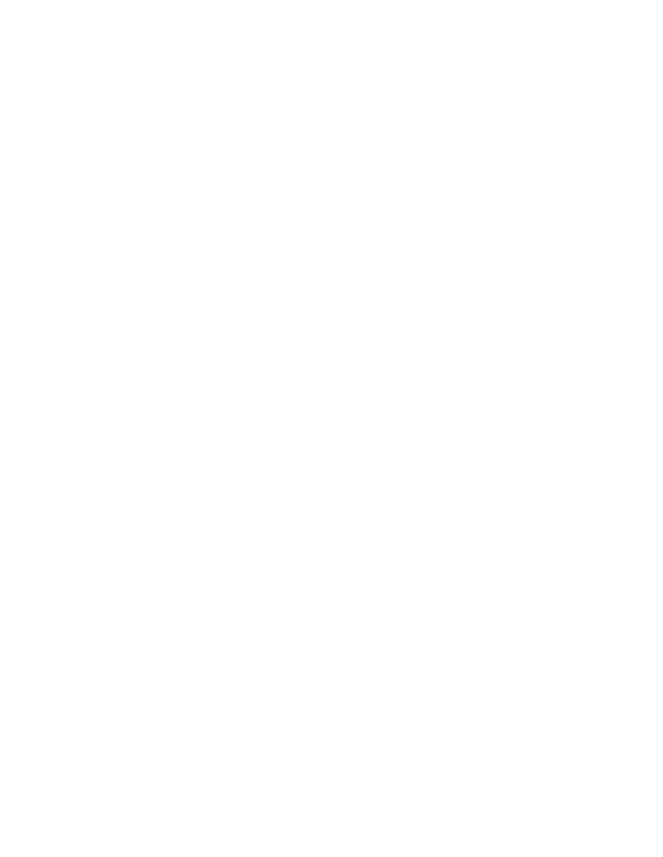repeated use of the phrase "in one embodiment" may or may not refer to the same embodiment.

"Computer-readable medium", as used herein, refers to a medium that stores signals, instructions and/or data. Examples of a computer-readable medium include, but are 5 not limited to, non-volatile media and volatile media. Nonvolatile media may include, for example, optical disks, magnetic disks, and so on. Volatile media may include, for example, semiconductor memories, dynamic memory, and so on. Common forms of a computer-readable medium may  $10$ include, but are not limited to, a floppy disk, a flexible disk, a hard disk, a magnetic tape, other magnetic medium, other optical medium, a Random Access Memory (RAM), a Read-Only Memory (ROM), a memory chip or card, a memory stick, and other media from which a computer, a 15 processor or other electronic device can read. In one embodiment, the computer-readable medium is a non-transitory computer-readable medium.

"Component", as used herein, includes but is not limited to hardware, firmware, software stored on a computer- 20 readable medium or in execution on a machine, and/or combinations of each to perform a function(s) or an action(s), and/or to cause a function or action from another component, method, and/or system. Component may include a software controlled microprocessor, a discrete 25 component, an analog circuit, a digital circuit, a programmed logic device, a memory device containing instructions, and so on. Where multiple components are described, it may be possible to incorporate the multiple components into one physical component or conversely, where a single 30 component is described, it may be possible to distribute that single component between multiple components.

'Software", as used herein, includes but is not limited to, one or more executable instructions stored on a computerreadable medium that cause a computer, processor, or other 35 electronic device to perform functions, actions and/or behave in a desired manner. The instructions may be embodied in various forms including routines, algorithms, modules, methods, threads, and/or programs including separate applications or code from dynamically linked libraries.

FIG. 1 illustrates one embodiment of a system 100 comprising a plurality of transmitters 110 and a plurality of receivers 120. The plurality of transmitters 110 comprises two or more transmitters with FIG. 1 illustrating Transmitter 1 that can be considered a first transmitter, Transmitter 2 that 45 can be considered a second transmitter, and Transmitter X with X being a positive integer valued at two or greater. Similar to the plurality of transmitters 110, the plurality of receivers 120 comprises two or more receivers with FIG. 1 illustrating Receiver 1 that can be considered a first receiver, 50 Receiver 2 that can be considered a second receiver, and Receiver X with X being a positive integer.

While the plurality of receivers 120 and the pluralities of transmitters 110 are shown as separate elements, it is to be appreciated that these could be configured as one element. In 55 one example. Transmitter 1 and Receiver 1 can function as one piece of hardware and therefore be co-located. This can be used when Transmitter 2 and Receiver 2 are either one piece of hardware or are separate. For both the plurality of transmitters 110 and the plurality of receivers 120, while it 60 visually appears that there are at least three transmitters and three receivers, the plurality can be implemented with two transmitters and/or two receivers.

The plurality of transmitters 110 can transmit a plurality of waveforms  $130$ ,  $140$ , and  $150$  (waveforms  $130-150$  can be 65 the same waveforms or different waveforms). After transmission, the plurality of receivers 120 can receive the

waveforms 130-150 and/or a response to the waveforms 130-150 (e.g., a reflection of the waveforms 130-150 off a surface). The waveforms 130-150 can be shifted from one another such that clear communication can occur between the plurality of transmitters 110 and the plurality of receivers 120.

In one embodiment, transmitter 1 can be configured to transmit a first radio beamforming waveform (e.g., waveform 130) at a first time  $(\tau_1)$ . Transmitter 2 can be configured to transmit a second radio beamforming waveform (e.g., waveform 140) at a second time  $(\tau_2)$ . The second time has a delay from the first time such that Transmitter 1 is configured to transmit the second radio beamforming waveform after Transmitter 2 transmits the first radio beamforming waveform. The first radio beamforming waveform and the second radio beamforming waveform can be part of a radio beamforming waveform set (e.g., be either the entire waveform set or members with other waveforms in the waveform set)

In one embodiment, transmitter 1 can be configured to transmit the first radio beamforming waveform at a first frequency. Transmitter 2 can be configured to transmit a second radio beamforming waveform at a second frequency (e.g., transmitted, at least in part, concurrently with transmission of the first waveform). The first frequency and the second frequency can be different frequencies and/or be in different frequency bands that are separate and distinct (no overlap of the bands or adjacent overlap such that the end frequency of one band is the start frequency of the next band).

The plurality of receivers 120 can be configured to receive a response to the first radio beamforming waveform and the second radio beamforming waveform. The response, for example, can be the waveform itself, a distorted version of the waveform (e.g., due to interference), or a reflection of the waveform off the surface. The multiple receivers of the plurality of receivers can receive a response from the same waveform.

The plurality of receivers 120 can be configured to receive 40 a response to transmission of the first radio beamforming waveform (e.g., at Receiver 1) and configured to receive a response to transmission of the second radio waveform (e.g., at Receiver 2). The first radio beamforming waveform and the second radio beamforming waveform can be either the same waveform or different waveforms, and/or can be part of the radio beamforming waveform set. When the first and second radio beamforming waveforms are the same signal, they can be transmitted at the same frequency.

In one embodiment, the first transmitter can be configured to transmit the first radio beamforming waveform and the second transmitter can be configured to transmit the second radio beamforming waveform. The first transmitter and the second transmitter can be such that they are non-synchronous to one another with regard to time and frequency. This can be that their respective transmission (e.g., the first and second waveforms respectively) can be non-synchronous to one another with regard to time and frequency. These transmissions can function concurrently (e.g., simultaneously) and/or be in the same frequency band.

FIG. 2 illustrates one embodiment of a system 200 comprising a phase accumulator 210, a waveform definer 220, a digital-to-analog converter 230, and a low pass filter 240. The system 200 can function as an arbitrary waveform generator and be used in conjunction with the system 100 of FIG. 1 to produce the waveforms 130-150 of FIG. 1. The phase accumulator 210 can produce clocked information and this information can be used by the waveform definer 220.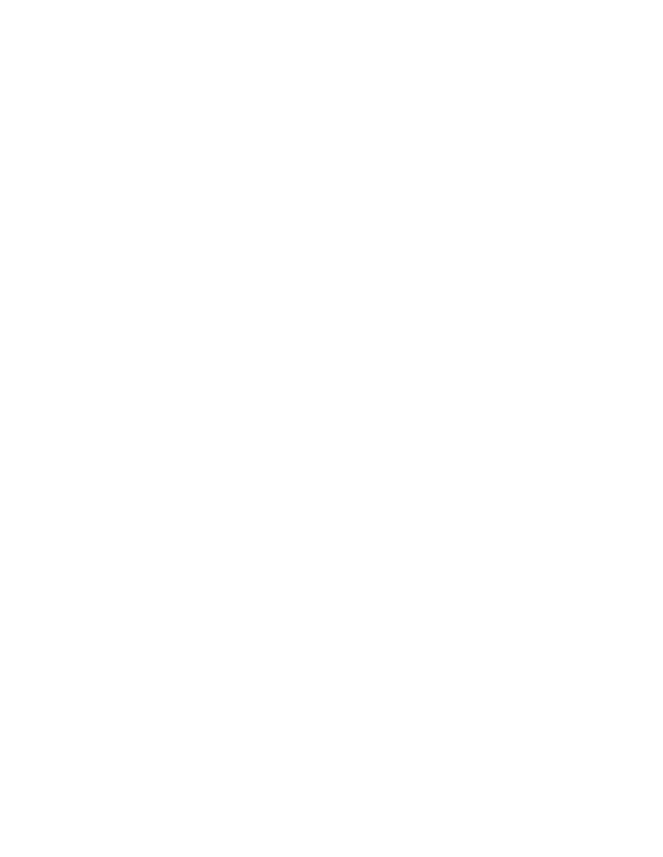The waveform definer 220 can produce the basis of the waveforms 130-150. This can be done through access of an internal memory bank that retains pre-stored definitions and/or received from an external source, such as a softwarecontroller interface delivering custom-designed definitions. 5 The digital to analog converter 230 can change the output of the waveform definer 220 to analog and this analog waveform can be filtered by the low pass filter 240 and outputted (e.g., transmitted).

FIG. 3 illustrates one embodiment of a layout 300 of a 10 MIMO system. The layout 300 is for a wavelength of 1 meter and illustrates a physical configuration for the plurality of transmitters 110 of FIG. 1 and the plurality of receivers 120 of FIG. 1. Individual transmitters are triangles while individual receivers are circles. At position  $0$ , both a trans-15 mitter and receiver are illustrated. This can be that the transmitter and receiver are co-located (e.g., next to one another) or that one device functions as a transmitter and a receiver, and thus is part of both pluralities 110 and 120.

The MIMO system can comprise the plurality of trans- 20 mitters 110 of FIG. 1 and the plurality of receivers 120 of FIG. 1. The MIMO system (otherwise known as MIMO array) can transmit waveforms across a real array such that low correlation exists between transmitted signals (e.g., waveforms 130-150 of FIG. 1) in the waveform vector 25  $s(t) \triangleq [s_0(t), \ldots, s_{M-1}(t)].$  Conditions for orthogonality can satisfy the following:  $\int_{\tau} s(t) s^{H}(t) dt = I_M$ , where  $\tau$  is the pulse duration, t is the time index,  $I_M$  is the M×M identity matrix, and  $(\cdot)^{H}$  is the Hermitian transpose. Thus, convolution of the M sub-arrays can yield an increase in available degrees of 30 freedom, as well as an increase in spatial resolution. Orthogonality can be ensured in various manners, such as in time, in frequency, or in some combination thereof.

FIG. 4 illustrates one embodiment of a graph 400. The graph 400 illustrates how to implement time-division duplex 35 pulse-compressed MIMO radar waveforms. The graph 400 shows that orthogonality can be achieved through time. With this, the same waveform can be sent out three times (e.g., waveforms 130-150 are the same waveform). Transmission of the waveforms can be staggered such that a second 40 waveform is not transmitted until after transmission of a first waveform is complete.

Ensuring orthogonality in the time domain can mean that only one transmitter in the MIMO array can be active at a time (active in transmission). That is, the transmitter firing 45 sequence for a MIMO waveform construct can have intermittent delays across transmitters equal to at least one pulse repetition interval (PRI). The time-division duplex MIMO transmit waveform can be designed as:

$$
s_m(t) = \sum_{l=0}^{L-1} u[t - (Ml+m)T_0] \exp\{j\pi\mu t^2\}, \ m = 0 \dots M-1
$$
 (1)

where M is the number of transmitters that are part of the plurality of transmitters  $110$  of FIG. 1, L is the number of pulses,  $T_0$  is the PRI, and  $\mu$  is the linear frequency modulated 55 (LFM) chirp rate. In view of this, the members of the radio beamforming waveform set can be dependent on the PRI, the chirp rate (LFM chirp rate), pulse number, number of transmitters, or a combination thereof. By inspection of  $(1)$ , the plurality of transmitters 110 of FIG. 1 can transmit a 60 pulse every  $MT_0$  seconds. During a signal processing stage, channelization of the MxN MIMO array (N being number of receivers in the plurality of receivers 120 of FIG. 1) can be streamlined to the equivalent of a uniform linear array (ULA) that can be in one example 1xMN since a matched 65 filter (e.g., used in digital signal processing) can be identical for transmitted signals.

6

FIG. 5 illustrates one embodiment of three graphs 510-530. The three graphs 510-530 illustrate how to implement frequency-division duplex pulse-compressed MIMO radar waveforms. Orthogonality in the frequency domain can function to not constrain an active state of the MIMO array, and therefore, the individual transmitters can operate simultaneously; however, orthogonality, along with unambiguity, in the frequency-domain can be ensured if the waveforms 130-150 of FIG. 1 are separated by a frequency deviation equal to at least the swept bandwidth,  $\beta$ . As a result, a total frequency deviation can depend on the number of transmitters in the MIMO array. These transmitters can span an operational bandwidth of  $M\beta$ . The frequency-division duplex MIMO transmit waveform can be designed as

$$
m(t) = \sum_{l=0}^{L-1} Ll[t-lT_0] \exp\{j\pi(2m\Delta f(1-\epsilon)t + \mu t^2)\}, m = 0 \dots M-1
$$
\n(2)

where M is the number of individual transmitters, L is the number of pulses,  $T_0$  is the PRI,  $\Delta f$  is the frequency shift,  $\varepsilon$ is the frequency offset used to control the amount of spectrum overlap in the transmitted signals (e.g.,  $\varepsilon$ =0.5 is 50% overlap), and  $\mu$  is the LFM chirp rate. In view of this, the radio beamforming waveform set can be dependent on PRI, frequency shift, frequency offset, number of pulses, the number of transmitters in the plurality of transmitters 110 of FIG. 1, or a combination thereof.

The individual transmitters, in one example designated as element 1, element 2, and element 3, can transmit the waveforms 130-150 of FIG. 1 at different frequencies. By inspection of equation (2), the individual transmitters transmit pulses simultaneously, however, each pulse is swept over a frequency deviation of  $[m \Delta f(1-\epsilon)+\mu t]$  Hz. During a signal processing stage, the channelization of the MxN MIMO array can be partitioned into M channels each having a matched filter that corresponds to the  $m<sup>th</sup>$  transmit signal.

FIGS. 6a-6d illustrate the time vs. frequency of the three waveforms 130-150 one graph for each waveform individually (graphs 610-630) and one graph 640 showing all three waveforms. As graph 640 illustrates, the waveforms can be communicated simultaneously, occupying different bandwidths (or within distinct bandwidth ranges) at the same time. At time (t) of  $\tau_1$ , the first waveform 130 is at a frequency (f) of  $\beta_1$ , the second waveform 140 is at a frequency (f) of  $\beta_3$  and the third waveform 150 is at a frequency (f) of  $\beta_2$ . Therefore, at the same time the waveforms 130-150 can be at different frequencies. At time of  $\tau_2$ the first waveform 130 is at a frequency (f) of  $\beta$ , while the second waveform 140 is at a frequency (f) of  $\beta_1$  and the third waveform 150 is at a frequency (f) of  $\beta_3$ . Therefore, the 50 waveforms 130-150 can occupy the same frequency, but at different times.

By encoding a waveform (e.g., radar waveform) using a combination of time-division duplex pulse-compressed and frequency-division duplex pulse-compressed techniques (the combination can be considered a circular-shifted duplex pulse-compressed technique), orthogonality can be achieved in an efficient manner. That is, the MIMO system (e.g., MIMO radar system) can function without staggering a transmitter firing sequence, as is done with time-division duplex pulse compression, and the MIMO system can function without the need to span a large operational bandwidth as is done with frequency-division duplex pulse compression. By circular-shifting, the individual transmitters of the plurality of transmitters 110 of FIG. 1 are able to fire simultaneously while operating over one instantiation of swept bandwidth,  $\beta$ . The circular-shifted duplex MIMO transmit waveform can be designed as: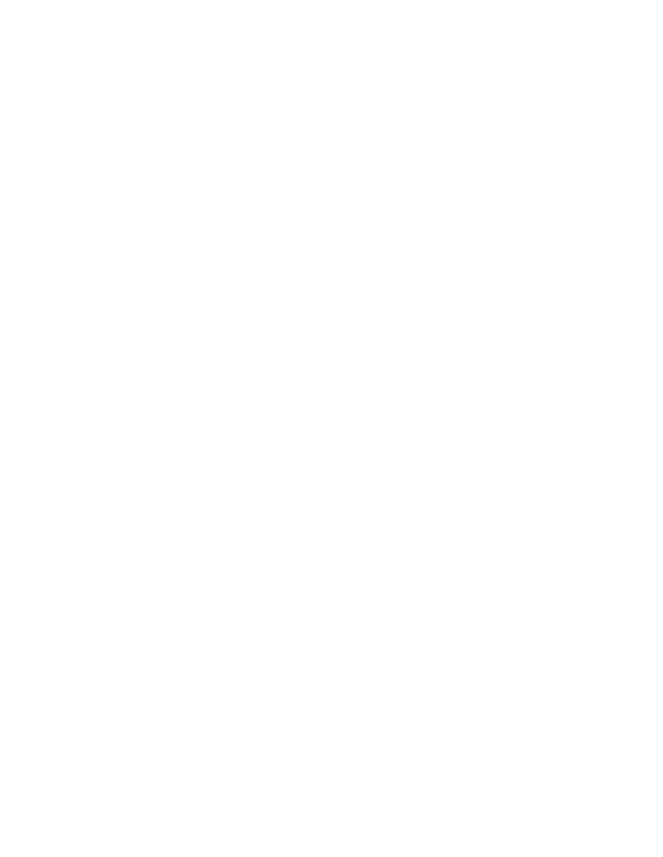$(3)$ 

 $s_m(t) = \sum_{l=0}^{L-1} a[t-lT_0], m=0...M-1$ 

where

 $a($ 

$$
t = \sum_{m=0}^{M-1} \sum_{z=0}^{Z-1} \mu u [t - z T_b] \exp\{j\pi (2\delta_{m,z} t + \mu t^2)\} \tag{4}
$$

and where M is the number of transmit elements, L is the number of pulses, Z is the number of sub-pulses,  $T_0$  is the PRI,  $T_h = \tau/Z$  is the sub-pulse defined as a function of the total pulse duration  $\tau$ ,  $\delta_{m} = \Delta f \{ (z-m)_{mod} \ z \}$  is the sub-carrier frequency step (mod  $\tilde{Z}$ ) defined as a function of  $\Delta f = \beta/Z$ , and 10  $\mu$  is the LFM chirp rate. Therefore, the radio beamforming waveform set can be dependent on the number of sub-pulses, the sub-pulse duration, and the number of sub-carriers, the sub-carrier frequency step, PRI, the number of pulses, the chirp rate, or a combination thereof. During signal process-15 ing stages, channelization of the MxN circular-shifted MIMO can be partitioned into M channels, which each have a matched filter that corresponds to the transmit signals.

FIG. 7 illustrates one embodiment of a system 700 comprising an analysis component 710 and a selection 20 component 720. The analysis component 710 can perform an analysis on a situation to produce an analysis result. Based, at least in part, on the analysis result, the selection component 720 can select a pulse compression technique to use.

In one example, the analysis component 710 can analyze waveforms for transmission. The result from this analysis can be that the waveforms are identical. The selection component 720 can determine that time-division duplex pulse compression is appropriate.

In another example, the analysis component 710 can analyze waveforms for transmission. The result from this analysis can be that the waveforms are not identical. The selection component 720 can determine that either the circular-shifted duplex pulse compressed technique or the 35 frequency-shifted duplex pulse compressed technique is appropriate. The selection component 720 can select one of these two techniques, such as through determining an available frequency band and subsequently basing this decision depending on the available frequency band.

FIG. 8 illustrates one embodiment of a system 800 comprising a processor 810 (e.g., a general purpose processor or a processor specifically designed for performing functionality disclosed herein) and a computer-readable medium 820 (e.g., non-transitory computer-readable 45 medium). In one embodiment, the processor 810 is a pulse compression processor configured to process the first and second radio beamforming waveforms through pulse compression. In one embodiment, the computer-readable medium 820 is communicatively coupled to the processor 50 810 and stores a command set executable by the processor 810 to facilitate operation of at least one component disclosed herein (e.g., the analysis component 710 of FIG. 7 or a selection component configured to select the delay). In one embodiment, at least one component disclosed herein (e.g., 55 the selection component 720 of FIG. 7) can be implemented, at least in part, by way of non-software, such as implemented as hardware by way of the system 800. In one embodiment, the computer-readable medium 820 is configured to store processor-executable instructions that, when 60 executed by the processor 810, cause the processor 810 to perform a method disclosed herein (e.g., the methods 900-1000 addressed below).

FIG. 9 illustrates one embodiment of a method 900 comprising four actions 910-940. At 910, transmitting a first 65 radio beamforming waveform at a first time can occur. This can be done by way of the first transmitter, which is part of

the plurality of transmitters 110 of FIG. 1. At 920, transmitting a second radio beamforming waveform can occur. This transmission can occur either at the first time or at a second time after transmission of the first radio beamforming waveform at the first time at 910. Also, this transmission can be done by way of the second transmitter that is part of the plurality of transmitters 110 of FIG. 1. The first radio beamforming waveform and the second radio beamforming waveform can be either at the same frequency or different frequencies. At 930, receiving a response to the first radio beamforming waveform can take place, and at 940, receiving a response to the second radio beamforming waveform can take place. These two receptions can be performed by receivers of the plurality of receivers 120 of FIG. 1.

FIG. 10 illustrates one embodiment of a method 1000 comprising three actions 1010-1030. At 1010, transmitting a first radio beamforming waveform can occur. This can be by way of a first transmitter that is part of the plurality of transmitters 110 of FIG. 1. Also at 1010, transmitting a second radio beamforming waveform can occur. This can be by way of a first transmitter that is part of the plurality of transmitters 110 of FIG. 1. At 1020, receiving a response to the first radio beamforming waveform, which is transmitted by way of the first transmitter, can occur. This can be done 25 by way of a first receiver that is part of the plurality of receivers 120 of FIG. 1. Also at 1020, receiving a response to the second radio beamforming waveform, which is transmitted by way of the first transmitter, can occur. This can be done by way of a second receiver that is part of the plurality of receivers 120 of FIG. 1. At 1030, processing the response to the first radio beamforming waveform can occur by way of channelization of the first radio beamforming waveform through partitioning of the first radio beamforming waveform into a number of channels that is at least equal to a number of transmitters in the plurality of transmitters. Also at 1030, processing the response to the second radio beamforming waveform can occur by way of channelization of the second radio beamforming waveform through partitioning of the second radio beamforming waveform into a 40 number of channels that is at least equal to a number of transmitters in the plurality of transmitters 110 of FIG. 1. This aforementioned processing can be performed by the processor 810 of FIG. 8.

While the methods disclosed herein are shown and described as a series of blocks, it is to be appreciated by one of ordinary skill in the art that the methods are not restricted by the order of the blocks, as some blocks can take place in different orders. Similarly, a block can operate concurrently with at least one other block.

What is claimed is:

1. A method performed, at least in part, by a multiple input-multiple output beamforming system, the method comprising:

transmitting, by way of a first transmitter that is part of a plurality of transmitters, a first radio beamforming waveform at a first time;

selecting a second time;

- transmitting, by way of a second transmitter that is part of the plurality of transmitters, a second radio beamforming waveform at the second time after transmission of the first radio beamforming waveform at the first time such that the second radio beamforming waveform does not interfere with the first radio beamforming waveform:
- receiving a response to the first radio beamforming waveform; and